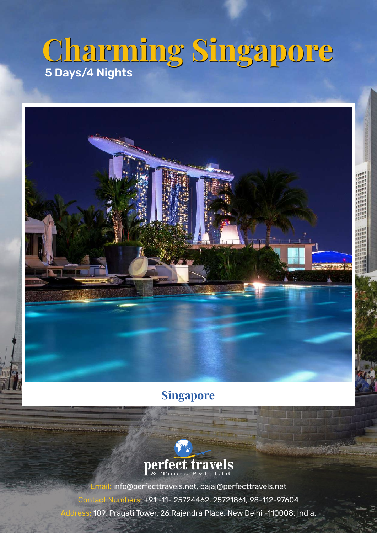# **Charming Singapore Charming Singapore** 5 Days/4 Nights



## **Singapore**



Email: info@perfecttravels.net, bajaj@perfecttravels.net Contact Numbers: +91 -11- 25724462, 25721861, 98-112-97604 ss: 109, Pragati Tower, 26 Rajendra Place, New Delhi -110008. India.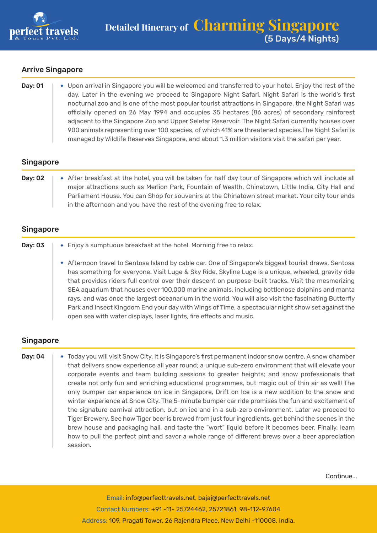

#### Arrive Singapore

| Day: 01 | • Upon arrival in Singapore you will be welcomed and transferred to your hotel. Enjoy the rest of the |
|---------|-------------------------------------------------------------------------------------------------------|
|         | day. Later in the evening we proceed to Singapore Night Safari. Night Safari is the world's first     |
|         | nocturnal zoo and is one of the most popular tourist attractions in Singapore, the Night Safari was   |
|         | officially opened on 26 May 1994 and occupies 35 hectares (86 acres) of secondary rainforest          |
|         | adjacent to the Singapore Zoo and Upper Seletar Reservoir. The Night Safari currently houses over     |
|         | 900 animals representing over 100 species, of which 41% are threatened species. The Night Safari is   |
|         | managed by Wildlife Reserves Singapore, and about 1.3 million visitors visit the safari per year.     |

#### Singapore

| Day: 02 | After breakfast at the hotel, you will be taken for half day tour of Singapore which will include all |
|---------|-------------------------------------------------------------------------------------------------------|
|         | major attractions such as Merlion Park, Fountain of Wealth, Chinatown, Little India, City Hall and    |
|         | Parliament House. You can Shop for souvenirs at the Chinatown street market. Your city tour ends      |
|         | in the afternoon and you have the rest of the evening free to relax.                                  |

#### Singapore

| Day: 03 | • Enjoy a sumptuous breakfast at the hotel. Morning free to relax.                                                                                                                                                                                                                                                                                                                                                                                                                                                                                                                                                                                                                                      |
|---------|---------------------------------------------------------------------------------------------------------------------------------------------------------------------------------------------------------------------------------------------------------------------------------------------------------------------------------------------------------------------------------------------------------------------------------------------------------------------------------------------------------------------------------------------------------------------------------------------------------------------------------------------------------------------------------------------------------|
|         | * Afternoon travel to Sentosa Island by cable car. One of Singapore's biggest tourist draws, Sentosa<br>has something for everyone. Visit Luge & Sky Ride, Skyline Luge is a unique, wheeled, gravity ride<br>that provides riders full control over their descent on purpose-built tracks. Visit the mesmerizing<br>SEA aquarium that houses over 100,000 marine animals, including bottlenose dolphins and manta<br>rays, and was once the largest oceanarium in the world. You will also visit the fascinating Butterfly<br>Park and Insect Kingdom End your day with Wings of Time, a spectacular night show set against the<br>open sea with water displays, laser lights, fire effects and music. |

#### Singapore

Day: 04  $\blacktriangleright$  Today you will visit Snow City. It is Singapore's first permanent indoor snow centre. A snow chamber that delivers snow experience all year round; a unique sub-zero environment that will elevate your corporate events and team building sessions to greater heights; and snow professionals that create not only fun and enriching educational programmes, but magic out of thin air as well! The only bumper car experience on ice in Singapore, Drift on Ice is a new addition to the snow and winter experience at Snow City. The 5-minute bumper car ride promises the fun and excitement of the signature carnival attraction, but on ice and in a sub-zero environment. Later we proceed to Tiger Brewery. See how Tiger beer is brewed from just four ingredients, get behind the scenes in the brew house and packaging hall, and taste the "wort" liquid before it becomes beer. Finally, learn how to pull the perfect pint and savor a whole range of different brews over a beer appreciation session.

Continue...